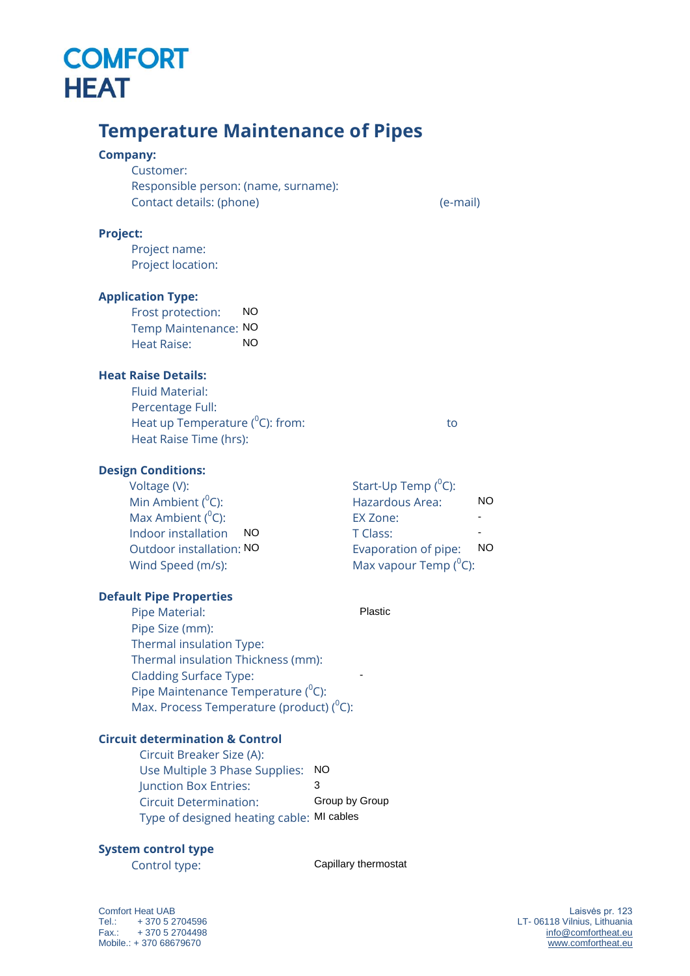## **COMFORT HEAT**

### **Temperature Maintenance of Pipes**

### **Company:**

Customer: Responsible person: (name, surname): Contact details: (phone) (e-mail)

### **Project:**

Project name: Project location:

### **Application Type:**

Frost protection: Temp Maintenance: NO Heat Raise:

### **Heat Raise Details:**

Fluid Material: Percentage Full: Heat up Temperature ( 0 C): from: to Heat Raise Time (hrs):

### **Design Conditions:**

Voltage (V): Min Ambient  $(^0C)$ : Max Ambient  $(^0C)$ : Indoor installation Outdoor installation: Wind Speed (m/s):

### Hazardous Area: EX Zone: T Class: Evaporation of pipe: Max vapour Temp  $(^0C)$ : NO<br>
NO<br>
NO<br>
NO<br>
e (<sup>o</sup>C): from: to<br>
10<br>
Start-Up Temp (<sup>o</sup>C):<br>
Hazardous Area: NO<br>
EX Zone: -<br>
T Class: -<br>
NO<br>
Exaporation of pipe; NO - - NO

Start-Up Temp (<sup>0</sup>C):

Plastic

-

### **Default Pipe Properties**

Pipe Material: Pipe Size (mm): Thermal insulation Type: Thermal insulation Thickness (mm): Cladding Surface Type: Pipe Maintenance Temperature (<sup>0</sup>C): Max. Process Temperature (product) ( $^0$ C):

### **Circuit determination & Control**

Circuit Breaker Size (A): Use Multiple 3 Phase Supplies: NO<br>Iunction Box Entries: 3 Junction Box Entries: Circuit Determination: Type of designed heating cable: MI cables Group by Group

### **System control type**

Control type:

Capillary thermostat

Comfort Heat UAB Tel.: + 370 5 2704596 Fax.: + 370 5 2704498 Mobile.: + 370 68679670